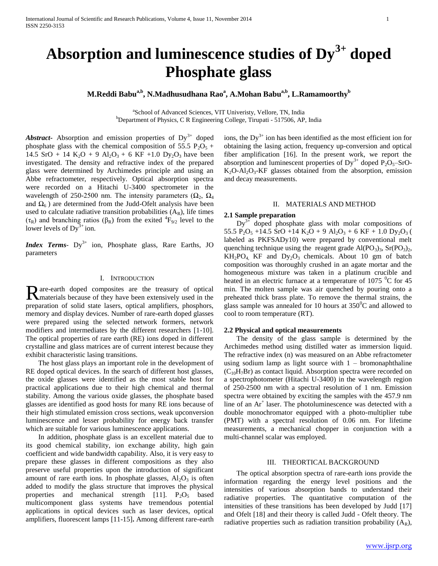# **Absorption and luminescence studies of Dy3+ doped Phosphate glass**

**M.Reddi Babua,b, N.Madhusudhana Rao<sup>a</sup> , A.Mohan Babua,b , L.Ramamoorthy<sup>b</sup>**

a School of Advanced Sciences, VIT Univeristy, Vellore, TN, India <sup>b</sup>Department of Physics, C R Engineering College, Tirupati - 517506, AP, India

Abstract Absorption and emission properties of Dy<sup>3+</sup> doped phosphate glass with the chemical composition of 55.5  $P_2O_5$  + 14.5 SrO + 14 K<sub>2</sub>O + 9 Al<sub>2</sub>O<sub>3</sub> + 6 KF +1.0 Dy<sub>2</sub>O<sub>3</sub> have been investigated. The density and refractive index of the prepared glass were determined by Archimedes principle and using an Abbe refractometer, respectively. Optical absorption spectra were recorded on a Hitachi U-3400 spectrometer in the wavelength of 250-2500 nm. The intensity parameters  $(\Omega_2, \Omega_4)$ and  $\Omega_6$ ) are determined from the Judd-Ofelt analysis have been used to calculate radiative transition probabilities  $(A_R)$ , life times ( $\tau_R$ ) and branching ratios ( $\beta_R$ ) from the exited  ${}^4F_{9/2}$  level to the lower levels of  $Dy^{3+}$  ion.

*Index Terms*- Dy<sup>3+</sup> ion, Phosphate glass, Rare Earths, JO parameters

#### I. INTRODUCTION

are-earth doped composites are the treasury of optical Rare-earth doped composites are the treasury of optical<br>Randerials because of they have been extensively used in the preparation of solid state lasers, optical amplifiers, phosphors, memory and display devices. Number of rare-earth doped glasses were prepared using the selected network formers, network modifiers and intermediates by the different researchers [1-10]. The optical properties of rare earth (RE) ions doped in different crystalline and glass matrices are of current interest because they exhibit characteristic lasing transitions.

 The host glass plays an important role in the development of RE doped optical devices. In the search of different host glasses, the oxide glasses were identified as the most stable host for practical applications due to their high chemical and thermal stability. Among the various oxide glasses, the phosphate based glasses are identified as good hosts for many RE ions because of their high stimulated emission cross sections, weak upconversion luminescence and lesser probability for energy back transfer which are suitable for various luminescence applications.

 In addition, phosphate glass is an excellent material due to its good chemical stability, ion exchange ability, high gain coefficient and wide bandwidth capability. Also, it is very easy to prepare these glasses in different compositions as they also preserve useful properties upon the introduction of significant amount of rare earth ions. In phosphate glasses,  $Al_2O_3$  is often added to modify the glass structure that improves the physical properties and mechanical strength [11].  $P_2O_5$  based multicomponent glass systems have tremendous potential applications in optical devices such as laser devices, optical amplifiers, fluorescent lamps [11-15]**.** Among different rare-earth

ions, the  $Dy^{3+}$  ion has been identified as the most efficient ion for obtaining the lasing action, frequency up-conversion and optical fiber amplification [16]. In the present work, we report the absorption and luminescent properties of  $Dy^{3+}$  doped  $P_2O_5$ –SrO- $K_2O-Al_2O_3-KF$  glasses obtained from the absorption, emission and decay measurements.

#### II. MATERIALS AND METHOD

#### **2.1 Sample preparation**

 $Dy^{3+}$  doped phosphate glass with molar compositions of 55.5  $P_2O_5$  +14.5 SrO +14 K<sub>2</sub>O + 9 Al<sub>2</sub>O<sub>3</sub> + 6 KF + 1.0 Dy<sub>2</sub>O<sub>3</sub> ( labeled as PKFSADy10) were prepared by conventional melt quenching technique using the reagent grade  $Al(PO<sub>3</sub>)<sub>3</sub>$ ,  $Sr(PO<sub>3</sub>)<sub>2</sub>$ ,  $KH_2PO_4$  KF and  $Dy_2O_3$  chemicals. About 10 gm of batch composition was thoroughly crushed in an agate mortar and the homogeneous mixture was taken in a platinum crucible and heated in an electric furnace at a temperature of  $1075 \degree C$  for 45 min. The molten sample was air quenched by pouring onto a preheated thick brass plate. To remove the thermal strains, the glass sample was annealed for 10 hours at  $350^{\circ}$ C and allowed to cool to room temperature (RT).

### **2.2 Physical and optical measurements**

 The density of the glass sample is determined by the Archimedes method using distilled water as immersion liquid. The refractive index (n) was measured on an Abbe refractometer using sodium lamp as light source with  $1 - b$ romonaphthaline  $(C_{10}H_7Br)$  as contact liquid. Absorption spectra were recorded on a spectrophotometer (Hitachi U-3400) in the wavelength region of 250-2500 nm with a spectral resolution of 1 nm. Emission spectra were obtained by exciting the samples with the 457.9 nm line of an Ar<sup>+</sup> laser. The photoluminescence was detected with a double monochromator equipped with a photo-multiplier tube (PMT) with a spectral resolution of 0.06 nm. For lifetime measurements, a mechanical chopper in conjunction with a multi-channel scalar was employed.

## III. THEORTICAL BACKGROUND

 The optical absorption spectra of rare-earth ions provide the information regarding the energy level positions and the intensities of various absorption bands to understand their radiative properties. The quantitative computation of the intensities of these transitions has been developed by Judd [17] and Ofelt [18] and their theory is called Judd - Ofelt theory. The radiative properties such as radiation transition probability  $(A_R)$ ,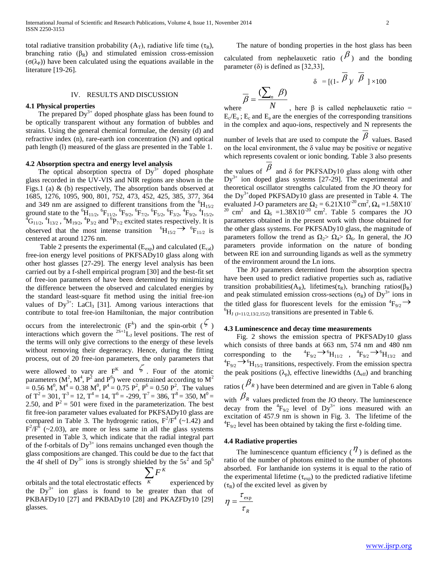total radiative transition probability  $(A_T)$ , radiative life time  $(\tau_R)$ , branching ratio  $(\beta_R)$  and stimulated emission cross-emission  $(\sigma(\lambda_P))$  have been calculated using the equations available in the literature [19-26].

#### IV. RESULTS AND DISCUSSION

## **4.1 Physical properties**

The prepared  $Dy^{3+}$  doped phosphate glass has been found to be optically transparent without any formation of bubbles and strains. Using the general chemical formulae, the density (d) and refractive index (n), rare-earth ion concentration (N) and optical path length (l) measured of the glass are presented in the Table 1.

## **4.2 Absorption spectra and energy level analysis**

The optical absorption spectra of  $Dy^{3+}$  doped phosphate glass recorded in the UV-VIS and NIR regions are shown in the Figs.1 (a) & (b) respectively, The absorption bands observed at 1685, 1276, 1095, 900, 801, 752, 473, 452, 425, 385, 377, 364 and 349 nm are assigned to different transitions from the  ${}^{6}H_{15/2}$ ground state to the  ${}^{6}\text{H}_{11/2}$ ,  ${}^{6}\text{F}_{11/2}$ ,  ${}^{6}\text{F}_{9/2}$ ,  ${}^{6}\text{F}_{7/2}$ ,  ${}^{6}\text{F}_{5/2}$ ,  ${}^{6}\text{F}_{3/2}$ ,  ${}^{4}\text{F}_{9/2}$ ,  ${}^{4}\text{I}_{15/2}$ ,  ${}^4\text{G}_{11/2}$ ,  ${}^4\text{N}_{13/2}$ ,  ${}^4\text{N}_{19/2}$ ,  ${}^4\text{P}_{3/2}$  and  ${}^6\text{P}_{7/2}$  excited states respectively. It is observed that the most intense transition  ${}^{6}H_{15/2} \rightarrow {}^{6}F_{11/2}$  is centered at around 1276 nm.

Table 2 presents the experimental  $(E_{exp})$  and calculated  $(E_{cal})$ free-ion energy level positions of PKFSADy10 glass along with other host glasses [27-29]. The energy level analysis has been carried out by a f-shell empirical program [30] and the best-fit set of free-ion parameters of have been determined by minimizing the difference between the observed and calculated energies by the standard least-square fit method using the initial free-ion values of  $Dy^{3+}$ : LaCl<sub>3</sub> [31]. Among various interactions that contribute to total free-ion Hamiltonian, the major contribution

occurs from the interelectronic  $(F^k)$  and the spin-orbit  $(\zeta)$ interactions which govern the  $^{2S+1}L_J$  level positions. The rest of the terms will only give corrections to the energy of these levels without removing their degeneracy. Hence, during the fitting process, out of 20 free-ion parameters, the only parameters that

were allowed to vary are  $F^{K}$  and  $\zeta$ . Four of the atomic parameters (M<sup>2</sup>, M<sup>4</sup>, P<sup>2</sup> and P<sup>6</sup>) were constrained according to M<sup>2</sup>  $= 0.56$  M<sup>0</sup>, M<sup>4</sup> = 0.38 M<sup>0</sup>, P<sup>4</sup> = 0.75 P<sup>2</sup>, P<sup>6</sup> = 0.50 P<sup>2</sup>. The values of T<sup>2</sup> = 301, T<sup>3</sup> = 12, T<sup>4</sup> = 14, T<sup>6</sup> = -299, T<sup>7</sup> = 386, T<sup>8</sup> = 350, M<sup>0</sup> = 2.50, and  $P^2 = 501$  were fixed in the parameterization. The best fit free-ion parameter values evaluated for PKFSADy10 glass are compared in Table 3. The hydrogenic ratios,  $F^2/F^4$  (~1.42) and  $F^2/F^6$  (~2.03), are more or less same in all the glass systems presented in Table 3, which indicate that the radial integral part of the f-orbitals of  $Dy^{3+}$  ions remains unchanged even though the glass compositions are changed. This could be due to the fact that the 4f shell of Dy<sup>3+</sup> ions is strongly shielded by the  $5s<sup>2</sup>$  and  $5p<sup>6</sup>$ 

$$
\sum_{\cdot} F^{K}
$$

orbitals and the total electrostatic effects *K* experienced by the  $Dy^{3+}$  ion glass is found to be greater than that of PKBAFDy10 [27] and PKBADy10 [28] and PKAZFDy10 [29] glasses.

 The nature of bonding properties in the host glass has been calculated from nephelauxetic ratio ( $\beta$ ) and the bonding parameter  $(\delta)$  is defined as [32,33],

$$
\delta = [(1 - \beta) / \beta] \times 100
$$

$$
\overline{\beta} = \frac{(\sum_{n} \beta)}{N}
$$

where *N*, here β is called nephelauxetic ratio =  $E_c/E_a$ ;  $E_c$  and  $E_a$  are the energies of the corresponding transitions in the complex and aquo-ions, respectively and N represents the number of levels that are used to compute the  $\beta$  values. Based on the local environment, the  $\delta$  value may be positive or negative which represents covalent or ionic bonding. Table 3 also presents

the values of  $\beta$  and  $\delta$  for PKFSADy10 glass along with other  $Dy^{3+}$  ion doped glass systems [27-29]. The experimental and theoretical oscillator strengths calculated from the JO theory for the  $Dy^{3+}$ doped PKFSADy10 glass are presented in Table 4. The evaluated J-O parameters are  $\Omega_2 = 6.21 \times 10^{-20} \text{ cm}^2$ ,  $\Omega_4 = 1.58 \times 10^{-20} \text{ cm}^2$ <sup>20</sup> cm<sup>2</sup> and  $\Omega_6 = 1.38 \times 10^{-20}$  cm<sup>2</sup>. Table 5 compares the JO parameters obtained in the present work with those obtained for the other glass systems. For PKFSADy10 glass, the magnitude of parameters follow the trend as  $\Omega_2 > \Omega_4 > \Omega_6$ . In general, the JO parameters provide information on the nature of bonding between RE ion and surrounding ligands as well as the symmetry of the environment around the Ln ions.

 The JO parameters determined from the absorption spectra have been used to predict radiative properties such as, radiative transition probabilities( $A_R$ ), lifetimes( $\tau_R$ ), branching ratios( $\beta_R$ ) and peak stimulated emission cross-sections ( $\sigma_R$ ) of Dy<sup>3+</sup> ions in the titled glass for fluorescent levels for the emission  ${}^{4}F_{9/2}$   $\rightarrow$  ${}^{6}H_{J (J=11/2,13/2,15/2)}$  transitions are presented in Table 6.

#### **4.3 Luminescence and decay time measurements**

 Fig. 2 shows the emission spectra of PKFSADy10 glass which consists of three bands at 663 nm, 574 nm and 480 nm corresponding to the  $F_{9/2} \rightarrow {}^{6}H_{11/2}$ ,  ${}^{4}F_{9/2} \rightarrow {}^{6}H_{13/2}$  and  ${}^{4}F_{9/2} \rightarrow {}^{6}H_{15/2}$  transitions, respectively. From the emission spectra the peak positions ( $\lambda_p$ ), effective linewidths ( $\Delta_{eff}$ ) and branching ratios ( $\beta_R$ ) have been determined and are given in Table 6 along with  $\beta_R$  values predicted from the JO theory. The luminescence decay from the  ${}^{4}F_{9/2}$  level of  $Dy^{3+}$  ions measured with an excitation of 457.9 nm is shown in Fig. 3. The lifetime of the  ${}^{4}F_{9/2}$  level has been obtained by taking the first e-folding time.

#### **4.4 Radiative properties**

The luminescence quantum efficiency  $(\eta)$  is defined as the ratio of the number of photons emitted to the number of photons absorbed. For lanthanide ion systems it is equal to the ratio of the experimental lifetime ( $\tau_{\text{exp}}$ ) to the predicted radiative lifetime  $(\tau_R)$  of the excited level as given by

$$
\eta = \frac{\tau_{\text{exp}}}{\tau_R}
$$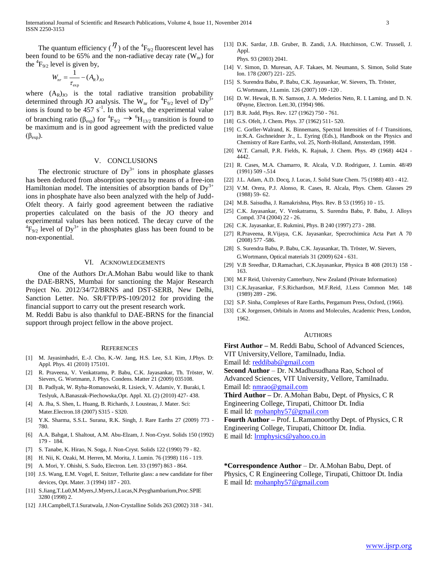The quantum efficiency ( $\eta$ ) of the  ${}^4F_{9/2}$  fluorescent level has been found to be 65% and the non-radiative decay rate  $(W_{nr})$  for the  ${}^{4}F_{9/2}$  level is given by,

$$
W_{nr} = \frac{1}{\tau_{\exp}} - (A_R)_{JO}
$$

where  $(A_R)_{J_O}$  is the total radiative transition probability determined through JO analysis. The W<sub>nr</sub> for  ${}^{4}F_{9/2}$  level of Dy<sup>3+</sup> ions is found to be  $457 \text{ s}^{-1}$ . In this work, the experimental value of branching ratio ( $\beta_{exp}$ ) for  ${}^4F_{9/2} \rightarrow {}^6H_{13/2}$  transition is found to be maximum and is in good agreement with the predicted value  $(\beta_{exp}).$ 

## V. CONCLUSIONS

The electronic structure of  $Dy^{3+}$  ions in phosphate glasses has been deduced from absorption spectra by means of a free-ion Hamiltonian model. The intensities of absorption bands of  $Dy^{3+}$ ions in phosphate have also been analyzed with the help of Judd-Ofelt theory. A fairly good agreement between the radiative properties calculated on the basis of the JO theory and experimental values has been noticed. The decay curve of the  ${}^{4}F_{9/2}$  level of Dy<sup>3+</sup> in the phosphates glass has been found to be non-exponential.

#### VI. ACKNOWLEDGEMENTS

 One of the Authors Dr.A.Mohan Babu would like to thank the DAE-BRNS, Mumbai for sanctioning the Major Research Project No. 2012/34/72/BRNS and DST-SERB, New Delhi, Sanction Letter. No. SR/FTP/PS-109/2012 for providing the financial support to carry out the present research work.

M. Reddi Babu is also thankful to DAE-BRNS for the financial support through project fellow in the above project.

#### **REFERENCES**

- [1] M. Jayasimhadri, E.-J. Cho, K.-W. Jang, H.S. Lee, S.I. Kim, J.Phys. D: Appl. Phys. 41 (2010) 175101.
- [2] R. Praveena, V. Venkatramu, P. Babu, C.K. Jayasankar, Th. Tröster, W. Sievers, G. Wortmann, J. Phys. Condens. Matter 21 (2009) 035108.
- [3] B. Padlyak, W. Ryba-Romanowski, R. Lisieck, V. Adamiv, Y. Buraki, I. Teslyuk, A.Banaszak-Piechowska,Opt. Appl. XL (2) (2010) 427- 438.
- [4] A. Jha, S. Shen, L. Huang, B. Richards, J. Lousteau, J. Mater. Sci: Mater.Electron.18 (2007) S315 - S320.
- [5] Y.K. Sharma, S.S.L. Surana, R.K. Singh, J. Rare Earths 27 (2009) 773 780.
- [6] A.A. Bahgat, I. Shaltout, A.M. Abu-Elzam, J. Non-Cryst. Solids 150 (1992) 179 - 184.
- [7] S. Tanabe, K. Hirao, N. Soga, J. Non-Cryst. Solids 122 (1990) 79 82.
- [8] H. Nii, K. Ozaki, M. Herren, M. Morita, J. Lumin. 76 (1998) 116 119.
- [9] A. Mori, Y. Ohishi, S. Sudo, Electron. Lett. 33 (1997) 863 864.
- [10] J.S. Wang, E.M. Vogel, E. Snitzer, Tellurite glass: a new candidate for fiber devices, Opt. Mater. 3 (1994) 187 - 203.
- [11] S.Jiang,T.Lu0,M.Myers,J.Myers,J.Lucas,N.Peyghambarium,Proc.SPIE 3280 (1998) 2.
- [12] J.H.Campbell,T.I.Suratwala, J.Non-Crystalline Solids 263 (2002) 318 341.
- [13] D.K. Sardar, J.B. Gruber, B. Zandi, J.A. Hutchinson, C.W. Trussell, J. Appl.
- Phys. 93 (2003) 2041. [14] V. Simon, D. Muresan, A.F. Takaes, M. Neumann, S. Simon, Solid State Ion. 178 (2007) 221- 225.
- [15] S. Surendra Babu, P. Babu, C.K. Jayasankar, W. Sievers, Th. Tröster, G.Wortmann, J.Lumin. 126 (2007) 109 -120 .
- [16] D. W. Hewak, B. N. Samson, J. A. Mederios Neto, R. I. Laming, and D. N. 0Payne, Electron. Lett.30, (1994) 986.
- [17] B.R. Judd, Phys. Rev. 127 (1962) 750 761.
- [18] G.S. Ofelt, J. Chem. Phys. 37 (1962) 511-520.
- [19] C. Gorller-Walrand, K. Binnemans, Spectral Intensities of f–f Transitions, in:K.A. Gschneidner Jr., L. Eyring (Eds.), Handbook on the Physics and Chemistry of Rare Earths, vol. 25, North-Holland, Amsterdam, 1998.
- [20] W.T. Carnall, P.R. Fields, K. Rajnak, J. Chem. Phys. 49 (1968) 4424 4442.
- [21] R. Cases, M.A. Chamarro, R. Alcala, V.D. Rodriguez, J. Lumin. 48/49 (1991) 509 -.514
- [22] J.L. Adam, A.D. Docq, J. Lucas, J. Solid State Chem. 75 (1988) 403 412.
- [23] V.M. Orera, P.J. Alonso, R. Cases, R. Alcala, Phys. Chem. Glasses 29 (1988) 59- 62.
- [24] M.B. Saisudha, J. Ramakrishna, Phys. Rev. B 53 (1995) 10 15.
- [25] C.K. Jayasankar, V. Venkatramu, S. Surendra Babu, P. Babu, J. Alloys Compd. 374 (2004) 22 - 26.
- [26] C.K. Jayasankar, E. Rukmini, Phys. B 240 (1997) 273 288.
- [27] R.Praveena, R.Vijaya, C.K. Jayasankar, Specrochimica Acta Part A 70 (2008) 577 -586.
- [28] S. Surendra Babu, P. Babu, C.K. Jayasankar, Th. Tröster, W. Sievers, G.Wortmann, Optical materials 31 (2009) 624 - 631.
- [29] V.B Sreedhar, D.Ramachari, C.K.Jayasankar, Physica B 408 (2013) 158 163.
- [30] M.F Reid, University Canterbury, New Zealand (Private Information)
- [31] C.K.Jayasankar, F.S.Richardson, M.F.Reid, J.Less Common Met. 148 (1989) 289 - 296.
- [32] S.P. Sinha, Complexes of Rare Earths, Pergamum Press, Oxford, (1966).
- [33] C.K Jorgensen, Orbitals in Atoms and Molecules, Academic Press, London, 1962.

#### AUTHORS

**First Author –** M. Reddi Babu, School of Advanced Sciences, VIT University,Vellore, Tamilnadu, India. Email Id: [reddibab@gmail.com](mailto:reddibab@gmail.com)

**Second Author** – Dr. N.Madhusudhana Rao, School of Advanced Sciences, VIT University, Vellore, Tamilnadu. Email Id: [nmrao@gmail.com](mailto:nmrao@gmail.com)

**Third Author –** Dr. A.Mohan Babu, Dept. of Physics, C R Engineering College, Tirupati, Chittoor Dt. India E mail Id[: mohanphy57@gmail.com](mailto:mohanphy57@gmail.com)

**Fourth Author –** Prof. L.Ramamoorthy Dept. of Physics, C R Engineering College, Tirupati, Chittoor Dt. India. E mail Id[: lrmphysics@yahoo.co.in](mailto:lrmphysics@yahoo.co.in)

**\*Correspondence Author** – Dr. A.Mohan Babu, Dept. of Physics, C R Engineering College, Tirupati, Chittoor Dt. India E mail Id[: mohanphy57@gmail.com](mailto:mohanphy57@gmail.com)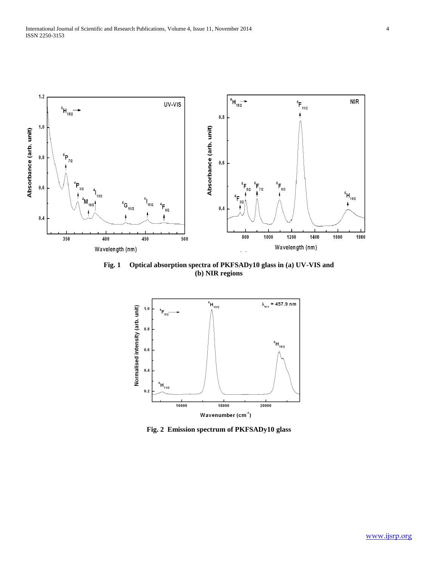

**Fig. 1 Optical absorption spectra of PKFSADy10 glass in (a) UV-VIS and (b) NIR regions**



**Fig. 2 Emission spectrum of PKFSADy10 glass**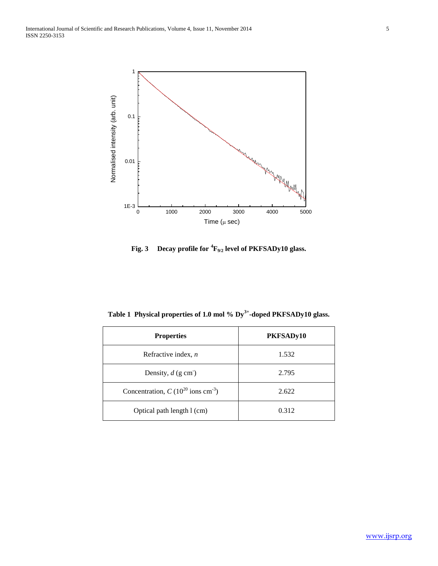

**Fig. 3 Decay profile for <sup>4</sup>F9/2 level of PKFSADy10 glass.**

**Table 1 Physical properties of 1.0 mol % Dy3+ -doped PKFSADy10 glass.**

| <b>Properties</b>                                 | PKFSADy10 |
|---------------------------------------------------|-----------|
| Refractive index, $n$                             | 1.532     |
| Density, $d$ (g cm)                               | 2.795     |
| Concentration, $C (10^{20} \text{ ions cm}^{-3})$ | 2.622     |
| Optical path length 1 (cm)                        | 0.312     |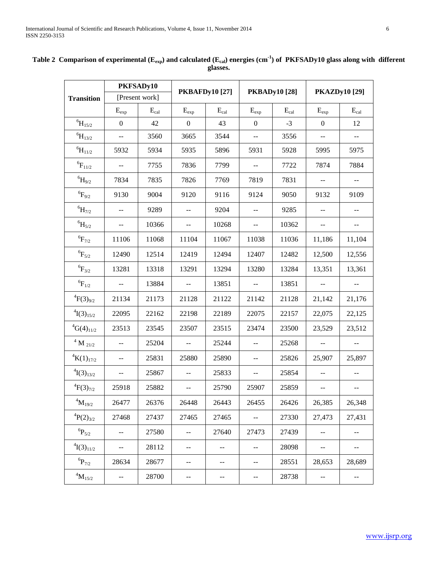|                                     | PKFSADy10                |           | <b>PKBAFDy10 [27]</b>                         |           | <b>PKBADy10 [28]</b> |           | <b>PKAZDy10 [29]</b>                          |                                               |
|-------------------------------------|--------------------------|-----------|-----------------------------------------------|-----------|----------------------|-----------|-----------------------------------------------|-----------------------------------------------|
| [Present work]<br><b>Transition</b> |                          |           |                                               |           |                      |           |                                               |                                               |
|                                     | $E_{exp}$                | $E_{cal}$ | $E_{exp}$                                     | $E_{cal}$ | $E_{exp}$            | $E_{cal}$ | $E_{exp}$                                     | $E_{cal}$                                     |
| $^{6}\mathrm{H}_{15/2}$             | $\boldsymbol{0}$         | 42        | $\boldsymbol{0}$                              | 43        | $\boldsymbol{0}$     | $-3$      | $\boldsymbol{0}$                              | 12                                            |
| $^{6}\mathrm{H}_{13/2}$             | --                       | 3560      | 3665                                          | 3544      | --                   | 3556      | $-$                                           | --                                            |
| $^{6}\!H_{11/2}$                    | 5932                     | 5934      | 5935                                          | 5896      | 5931                 | 5928      | 5995                                          | 5975                                          |
| $^6\!F_{11/2}$                      |                          | 7755      | 7836                                          | 7799      | --                   | 7722      | 7874                                          | 7884                                          |
| $^{6}\mathrm{H}_{9/2}$              | 7834                     | 7835      | 7826                                          | 7769      | 7819                 | 7831      | $\overline{\phantom{a}}$                      |                                               |
| $^6\mathrm{F}_{9/2}$                | 9130                     | 9004      | 9120                                          | 9116      | 9124                 | 9050      | 9132                                          | 9109                                          |
| $^{6} \mathrm{H}_{7/2}$             | --                       | 9289      |                                               | 9204      | --                   | 9285      | $-$                                           | --                                            |
| $^{6}\mathrm{H}_{5/2}$              | $\overline{a}$           | 10366     | $\overline{a}$                                | 10268     | --                   | 10362     | $\mathord{\hspace{1pt}\text{--}\hspace{1pt}}$ | $\mathord{\hspace{1pt}\text{--}\hspace{1pt}}$ |
| $^6\rm{F}_{7/2}$                    | 11106                    | 11068     | 11104                                         | 11067     | 11038                | 11036     | 11,186                                        | 11,104                                        |
| $^6\rm{F}_{5/2}$                    | 12490                    | 12514     | 12419                                         | 12494     | 12407                | 12482     | 12,500                                        | 12,556                                        |
| $^6\!F_{3/2}$                       | 13281                    | 13318     | 13291                                         | 13294     | 13280                | 13284     | 13,351                                        | 13,361                                        |
| $^6\!F_{1/2}$                       | $-$                      | 13884     | $-$                                           | 13851     | --                   | 13851     | $\overline{\phantom{a}}$                      | $\mathord{\hspace{1pt}\text{--}\hspace{1pt}}$ |
| ${}^{4}F(3)_{9/2}$                  | 21134                    | 21173     | 21128                                         | 21122     | 21142                | 21128     | 21,142                                        | 21,176                                        |
| $\binom{4}{3}_{15/2}$               | 22095                    | 22162     | 22198                                         | 22189     | 22075                | 22157     | 22,075                                        | 22,125                                        |
| ${}^4G(4)_{11/2}$                   | 23513                    | 23545     | 23507                                         | 23515     | 23474                | 23500     | 23,529                                        | 23,512                                        |
| $^4$ M $_{\rm 21/2}$                |                          | 25204     |                                               | 25244     | --                   | 25268     | $\overline{a}$                                | --                                            |
| ${}^{4}K(1)_{17/2}$                 |                          | 25831     | 25880                                         | 25890     | --                   | 25826     | 25,907                                        | 25,897                                        |
| ${}^{4}I(3)_{13/2}$                 | $\overline{\phantom{a}}$ | 25867     | $-$                                           | 25833     | --                   | 25854     | $\sim$ $\sim$                                 | $-$                                           |
| ${}^{4}F(3)_{7/2}$                  | 25918                    | 25882     |                                               | 25790     | 25907                | 25859     | $-$                                           | --                                            |
| $^4\!M_{19/2}$                      | 26477                    | 26376     | 26448                                         | 26443     | 26455                | 26426     | 26,385                                        | 26,348                                        |
| ${}^{4}P(2)_{3/2}$                  | 27468                    | 27437     | 27465                                         | 27465     | --                   | 27330     | 27,473                                        | 27,431                                        |
| ${}^{6}P_{5/2}$                     | --                       | 27580     | $-$                                           | 27640     | 27473                | 27439     | $\mathord{\hspace{1pt}\text{--}\hspace{1pt}}$ | --                                            |
| ${}^{4}I(3)_{11/2}$                 | --                       | 28112     | $\mathord{\hspace{1pt}\text{--}\hspace{1pt}}$ |           | $- -$                | 28098     | $\sim$                                        | $--$                                          |
| $^6\!P_{7/2}$                       | 28634                    | 28677     | $- -$                                         | $- -$     | --                   | 28551     | 28,653                                        | 28,689                                        |
| $^4\rm M_{15/2}$                    | --                       | 28700     | --                                            | --        | --                   | 28738     | $- \, -$                                      | $-$                                           |

**Table 2 Comparison of experimental (Eexp) and calculated (Ecal) energies (cm-1 ) of PKFSADy10 glass along with different glasses.**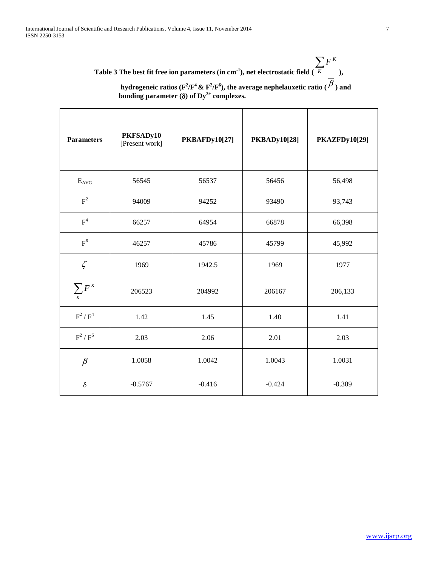| $\sum F^{K}$                                                                                          |  |
|-------------------------------------------------------------------------------------------------------|--|
| Table 3 The best fit free ion parameters (in cm <sup>-1</sup> ), net electrostatic field $(K \t s)$ , |  |
|                                                                                                       |  |

| hydrogeneic ratios ( $F^2/F^4 \& F^2/F^6$ ), the average nephelauxetic ratio ( $P$ ) and |  |
|------------------------------------------------------------------------------------------|--|
| bonding parameter ( $\delta$ ) of Dy <sup>3+</sup> complexes.                            |  |

| <b>Parameters</b>  | PKFSADy10<br>[Present work] | <b>PKBAFDy10[27]</b> | <b>PKBADy10[28]</b> | <b>PKAZFDy10[29]</b> |  |
|--------------------|-----------------------------|----------------------|---------------------|----------------------|--|
| $E_{AVG}$          | 56545                       | 56537                | 56456               | 56,498               |  |
| $F^2$              | 94009                       | 94252                | 93490               | 93,743               |  |
| $\mbox{F}^4$       | 66257                       | 64954                | 66878               | 66,398               |  |
| F <sup>6</sup>     | 46257                       | 45786                | 45799               | 45,992               |  |
| $\zeta$            | 1969                        | 1942.5               | 1969                | 1977                 |  |
| $\sum_{K} F^{K}$   | 206523                      | 204992               | 206167              | 206,133              |  |
| $F^2/F^4$          | 1.42                        | 1.45                 | 1.40                | 1.41                 |  |
| $F^2/F^6$          | 2.03                        | 2.06                 | 2.01                | 2.03                 |  |
| $\overline{\beta}$ | 1.0058                      | 1.0042               | 1.0043              | 1.0031               |  |
| $\delta$           | $-0.5767$                   | $-0.416$             | $-0.424$            | $-0.309$             |  |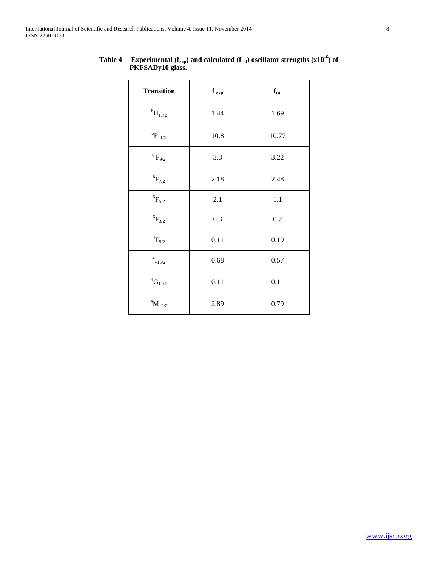| <b>Transition</b>       | $f_{exp}$ | $\mathbf{f}_{\text{cal}}$ |
|-------------------------|-----------|---------------------------|
| $^{6}\mathrm{H}_{11/2}$ | 1.44      | 1.69                      |
| $^6\rm{F}_{11/2}$       | 10.8      | 10.77                     |
| $^6\mathrm{F}_{9/2}$    | 3.3       | 3.22                      |
| $^6\mathrm{F}_{7/2}$    | 2.18      | 2.48                      |
| $^6\rm{F}_{5/2}$        | 2.1       | $1.1\,$                   |
| ${}^{6}F_{3/2}$         | 0.3       | 0.2                       |
| $^4\mathrm{F}_{9/2}$    | 0.11      | 0.19                      |
| $^4\mathrm{I}_{15/2}$   | 0.68      | 0.57                      |
| $^4{\rm G}_{11/2}$      | 0.11      | 0.11                      |
| $^4\rm M_{19/2}$        | 2.89      | 0.79                      |

**Table 4** Experimental ( $f_{exp}$ ) and calculated ( $f_{cal}$ ) oscillator strengths (x10<sup>-6</sup>) of  **PKFSADy10 glass.**